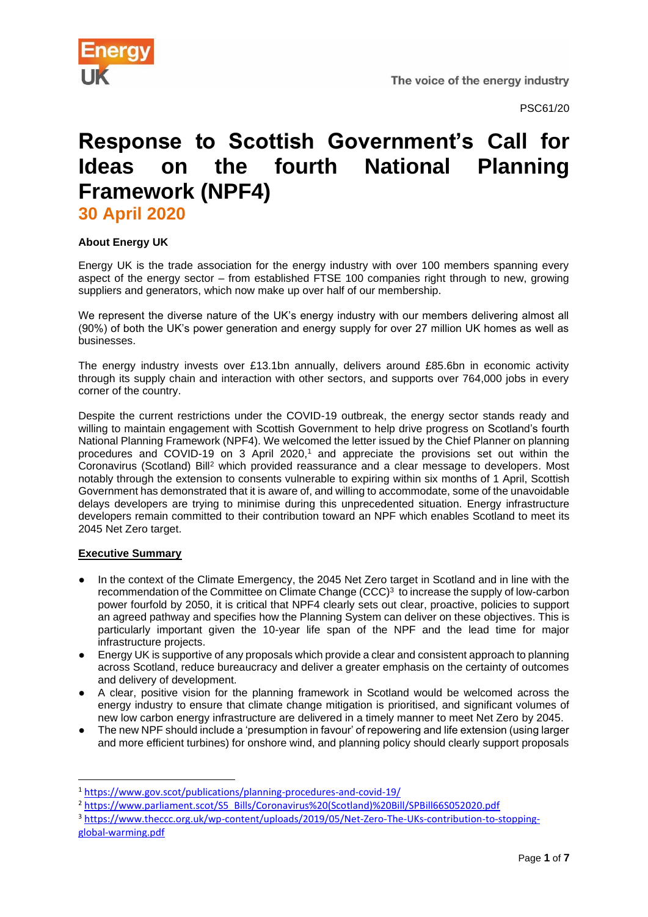

PSC61/20

# **Response to Scottish Government's Call for Ideas on the fourth National Planning Framework (NPF4)**

**30 April 2020** 

## **About Energy UK**

Energy UK is the trade association for the energy industry with over 100 members spanning every aspect of the energy sector – from established FTSE 100 companies right through to new, growing suppliers and generators, which now make up over half of our membership.

We represent the diverse nature of the UK's energy industry with our members delivering almost all (90%) of both the UK's power generation and energy supply for over 27 million UK homes as well as businesses.

The energy industry invests over £13.1bn annually, delivers around £85.6bn in economic activity through its supply chain and interaction with other sectors, and supports over 764,000 jobs in every corner of the country.

Despite the current restrictions under the COVID-19 outbreak, the energy sector stands ready and willing to maintain engagement with Scottish Government to help drive progress on Scotland's fourth National Planning Framework (NPF4). We welcomed the letter issued by the Chief Planner on planning procedures and COVID-19 on 3 April 2020,<sup>1</sup> and appreciate the provisions set out within the Coronavirus (Scotland) Bill<sup>2</sup> which provided reassurance and a clear message to developers. Most notably through the extension to consents vulnerable to expiring within six months of 1 April, Scottish Government has demonstrated that it is aware of, and willing to accommodate, some of the unavoidable delays developers are trying to minimise during this unprecedented situation. Energy infrastructure developers remain committed to their contribution toward an NPF which enables Scotland to meet its 2045 Net Zero target.

## **Executive Summary**

- In the context of the Climate Emergency, the 2045 Net Zero target in Scotland and in line with the recommendation of the Committee on Climate Change (CCC)<sup>3</sup> to increase the supply of low-carbon power fourfold by 2050, it is critical that NPF4 clearly sets out clear, proactive, policies to support an agreed pathway and specifies how the Planning System can deliver on these objectives. This is particularly important given the 10-year life span of the NPF and the lead time for major infrastructure projects.
- Energy UK is supportive of any proposals which provide a clear and consistent approach to planning across Scotland, reduce bureaucracy and deliver a greater emphasis on the certainty of outcomes and delivery of development.
- A clear, positive vision for the planning framework in Scotland would be welcomed across the energy industry to ensure that climate change mitigation is prioritised, and significant volumes of new low carbon energy infrastructure are delivered in a timely manner to meet Net Zero by 2045.
- The new NPF should include a 'presumption in favour' of repowering and life extension (using larger and more efficient turbines) for onshore wind, and planning policy should clearly support proposals

<sup>3</sup> [https://www.theccc.org.uk/wp-content/uploads/2019/05/Net-Zero-The-UKs-contribution-to-stopping](https://www.theccc.org.uk/wp-content/uploads/2019/05/Net-Zero-The-UKs-contribution-to-stopping-global-warming.pdf)[global-warming.pdf](https://www.theccc.org.uk/wp-content/uploads/2019/05/Net-Zero-The-UKs-contribution-to-stopping-global-warming.pdf)

<sup>1</sup> <https://www.gov.scot/publications/planning-procedures-and-covid-19/>

<sup>2</sup> [https://www.parliament.scot/S5\\_Bills/Coronavirus%20\(Scotland\)%20Bill/SPBill66S052020.pdf](https://www.parliament.scot/S5_Bills/Coronavirus%20(Scotland)%20Bill/SPBill66S052020.pdf)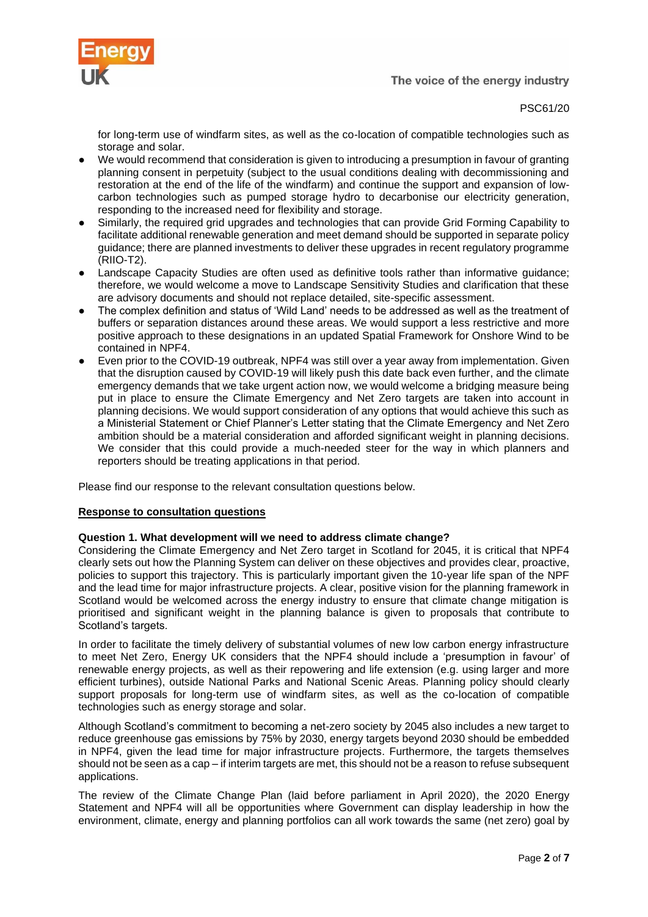



PSC61/20

for long-term use of windfarm sites, as well as the co-location of compatible technologies such as storage and solar.

- We would recommend that consideration is given to introducing a presumption in favour of granting planning consent in perpetuity (subject to the usual conditions dealing with decommissioning and restoration at the end of the life of the windfarm) and continue the support and expansion of lowcarbon technologies such as pumped storage hydro to decarbonise our electricity generation, responding to the increased need for flexibility and storage.
- Similarly, the required grid upgrades and technologies that can provide Grid Forming Capability to facilitate additional renewable generation and meet demand should be supported in separate policy guidance; there are planned investments to deliver these upgrades in recent regulatory programme (RIIO-T2).
- Landscape Capacity Studies are often used as definitive tools rather than informative guidance; therefore, we would welcome a move to Landscape Sensitivity Studies and clarification that these are advisory documents and should not replace detailed, site-specific assessment.
- The complex definition and status of 'Wild Land' needs to be addressed as well as the treatment of buffers or separation distances around these areas. We would support a less restrictive and more positive approach to these designations in an updated Spatial Framework for Onshore Wind to be contained in NPF4.
- Even prior to the COVID-19 outbreak, NPF4 was still over a year away from implementation. Given that the disruption caused by COVID-19 will likely push this date back even further, and the climate emergency demands that we take urgent action now, we would welcome a bridging measure being put in place to ensure the Climate Emergency and Net Zero targets are taken into account in planning decisions. We would support consideration of any options that would achieve this such as a Ministerial Statement or Chief Planner's Letter stating that the Climate Emergency and Net Zero ambition should be a material consideration and afforded significant weight in planning decisions. We consider that this could provide a much-needed steer for the way in which planners and reporters should be treating applications in that period.

Please find our response to the relevant consultation questions below.

## **Response to consultation questions**

#### **Question 1. What development will we need to address climate change?**

Considering the Climate Emergency and Net Zero target in Scotland for 2045, it is critical that NPF4 clearly sets out how the Planning System can deliver on these objectives and provides clear, proactive, policies to support this trajectory. This is particularly important given the 10-year life span of the NPF and the lead time for major infrastructure projects. A clear, positive vision for the planning framework in Scotland would be welcomed across the energy industry to ensure that climate change mitigation is prioritised and significant weight in the planning balance is given to proposals that contribute to Scotland's targets.

In order to facilitate the timely delivery of substantial volumes of new low carbon energy infrastructure to meet Net Zero, Energy UK considers that the NPF4 should include a 'presumption in favour' of renewable energy projects, as well as their repowering and life extension (e.g. using larger and more efficient turbines), outside National Parks and National Scenic Areas. Planning policy should clearly support proposals for long-term use of windfarm sites, as well as the co-location of compatible technologies such as energy storage and solar.

Although Scotland's commitment to becoming a net-zero society by 2045 also includes a new target to reduce greenhouse gas emissions by 75% by 2030, energy targets beyond 2030 should be embedded in NPF4, given the lead time for major infrastructure projects. Furthermore, the targets themselves should not be seen as a cap – if interim targets are met, this should not be a reason to refuse subsequent applications.

The review of the Climate Change Plan (laid before parliament in April 2020), the 2020 Energy Statement and NPF4 will all be opportunities where Government can display leadership in how the environment, climate, energy and planning portfolios can all work towards the same (net zero) goal by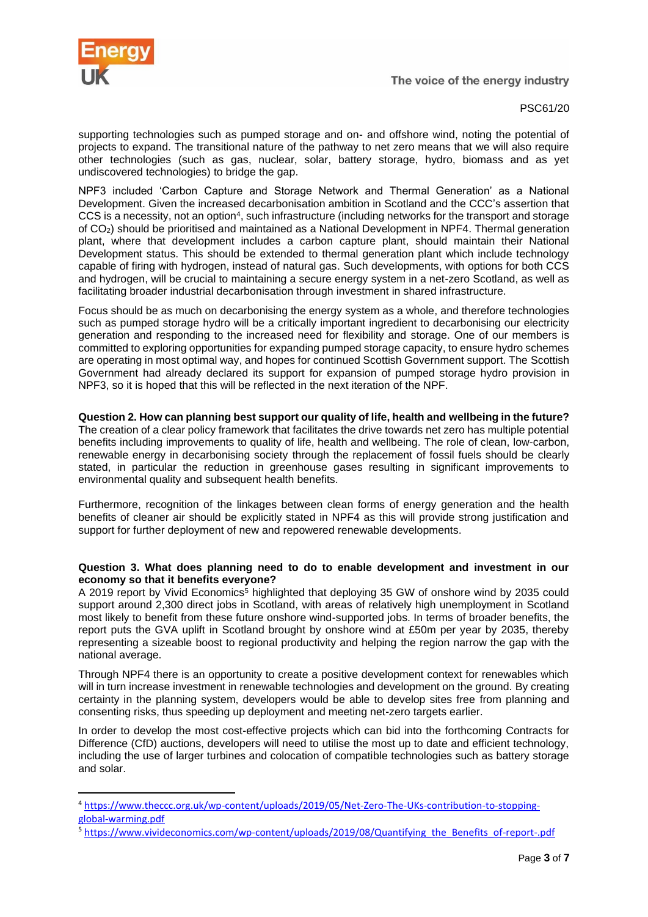

PSC61/20

supporting technologies such as pumped storage and on- and offshore wind, noting the potential of projects to expand. The transitional nature of the pathway to net zero means that we will also require other technologies (such as gas, nuclear, solar, battery storage, hydro, biomass and as yet undiscovered technologies) to bridge the gap.

NPF3 included 'Carbon Capture and Storage Network and Thermal Generation' as a National Development. Given the increased decarbonisation ambition in Scotland and the CCC's assertion that CCS is a necessity, not an option<sup>4</sup>, such infrastructure (including networks for the transport and storage of CO2) should be prioritised and maintained as a National Development in NPF4. Thermal generation plant, where that development includes a carbon capture plant, should maintain their National Development status. This should be extended to thermal generation plant which include technology capable of firing with hydrogen, instead of natural gas. Such developments, with options for both CCS and hydrogen, will be crucial to maintaining a secure energy system in a net-zero Scotland, as well as facilitating broader industrial decarbonisation through investment in shared infrastructure.

Focus should be as much on decarbonising the energy system as a whole, and therefore technologies such as pumped storage hydro will be a critically important ingredient to decarbonising our electricity generation and responding to the increased need for flexibility and storage. One of our members is committed to exploring opportunities for expanding pumped storage capacity, to ensure hydro schemes are operating in most optimal way, and hopes for continued Scottish Government support. The Scottish Government had already declared its support for expansion of pumped storage hydro provision in NPF3, so it is hoped that this will be reflected in the next iteration of the NPF.

### **Question 2. How can planning best support our quality of life, health and wellbeing in the future?**

The creation of a clear policy framework that facilitates the drive towards net zero has multiple potential benefits including improvements to quality of life, health and wellbeing. The role of clean, low-carbon, renewable energy in decarbonising society through the replacement of fossil fuels should be clearly stated, in particular the reduction in greenhouse gases resulting in significant improvements to environmental quality and subsequent health benefits.

Furthermore, recognition of the linkages between clean forms of energy generation and the health benefits of cleaner air should be explicitly stated in NPF4 as this will provide strong justification and support for further deployment of new and repowered renewable developments.

#### **Question 3. What does planning need to do to enable development and investment in our economy so that it benefits everyone?**

A 2019 report by Vivid Economics<sup>5</sup> highlighted that deploying 35 GW of onshore wind by 2035 could support around 2,300 direct jobs in Scotland, with areas of relatively high unemployment in Scotland most likely to benefit from these future onshore wind-supported jobs. In terms of broader benefits, the report puts the GVA uplift in Scotland brought by onshore wind at £50m per year by 2035, thereby representing a sizeable boost to regional productivity and helping the region narrow the gap with the national average.

Through NPF4 there is an opportunity to create a positive development context for renewables which will in turn increase investment in renewable technologies and development on the ground. By creating certainty in the planning system, developers would be able to develop sites free from planning and consenting risks, thus speeding up deployment and meeting net-zero targets earlier.

In order to develop the most cost-effective projects which can bid into the forthcoming Contracts for Difference (CfD) auctions, developers will need to utilise the most up to date and efficient technology, including the use of larger turbines and colocation of compatible technologies such as battery storage and solar.

<sup>4</sup> [https://www.theccc.org.uk/wp-content/uploads/2019/05/Net-Zero-The-UKs-contribution-to-stopping](https://www.theccc.org.uk/wp-content/uploads/2019/05/Net-Zero-The-UKs-contribution-to-stopping-global-warming.pdf)[global-warming.pdf](https://www.theccc.org.uk/wp-content/uploads/2019/05/Net-Zero-The-UKs-contribution-to-stopping-global-warming.pdf)

<sup>5</sup> [https://www.vivideconomics.com/wp-content/uploads/2019/08/Quantifying\\_the\\_Benefits\\_of-report-.pdf](https://www.vivideconomics.com/wp-content/uploads/2019/08/Quantifying_the_Benefits_of-report-.pdf)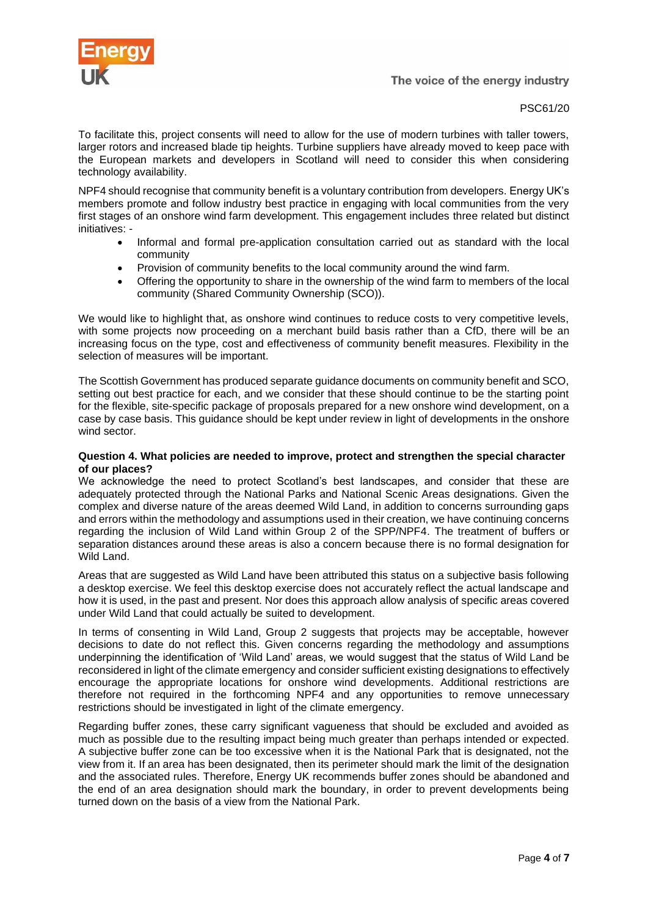

PSC61/20

To facilitate this, project consents will need to allow for the use of modern turbines with taller towers, larger rotors and increased blade tip heights. Turbine suppliers have already moved to keep pace with the European markets and developers in Scotland will need to consider this when considering technology availability.

NPF4 should recognise that community benefit is a voluntary contribution from developers. Energy UK's members promote and follow industry best practice in engaging with local communities from the very first stages of an onshore wind farm development. This engagement includes three related but distinct initiatives: -

- Informal and formal pre-application consultation carried out as standard with the local community
- Provision of community benefits to the local community around the wind farm.
- Offering the opportunity to share in the ownership of the wind farm to members of the local community (Shared Community Ownership (SCO)).

We would like to highlight that, as onshore wind continues to reduce costs to very competitive levels, with some projects now proceeding on a merchant build basis rather than a CfD, there will be an increasing focus on the type, cost and effectiveness of community benefit measures. Flexibility in the selection of measures will be important.

The Scottish Government has produced separate guidance documents on community benefit and SCO, setting out best practice for each, and we consider that these should continue to be the starting point for the flexible, site-specific package of proposals prepared for a new onshore wind development, on a case by case basis. This guidance should be kept under review in light of developments in the onshore wind sector.

#### **Question 4. What policies are needed to improve, protect and strengthen the special character of our places?**

We acknowledge the need to protect Scotland's best landscapes, and consider that these are adequately protected through the National Parks and National Scenic Areas designations. Given the complex and diverse nature of the areas deemed Wild Land, in addition to concerns surrounding gaps and errors within the methodology and assumptions used in their creation, we have continuing concerns regarding the inclusion of Wild Land within Group 2 of the SPP/NPF4. The treatment of buffers or separation distances around these areas is also a concern because there is no formal designation for Wild Land.

Areas that are suggested as Wild Land have been attributed this status on a subjective basis following a desktop exercise. We feel this desktop exercise does not accurately reflect the actual landscape and how it is used, in the past and present. Nor does this approach allow analysis of specific areas covered under Wild Land that could actually be suited to development.

In terms of consenting in Wild Land, Group 2 suggests that projects may be acceptable, however decisions to date do not reflect this. Given concerns regarding the methodology and assumptions underpinning the identification of 'Wild Land' areas, we would suggest that the status of Wild Land be reconsidered in light of the climate emergency and consider sufficient existing designations to effectively encourage the appropriate locations for onshore wind developments. Additional restrictions are therefore not required in the forthcoming NPF4 and any opportunities to remove unnecessary restrictions should be investigated in light of the climate emergency.

Regarding buffer zones, these carry significant vagueness that should be excluded and avoided as much as possible due to the resulting impact being much greater than perhaps intended or expected. A subjective buffer zone can be too excessive when it is the National Park that is designated, not the view from it. If an area has been designated, then its perimeter should mark the limit of the designation and the associated rules. Therefore, Energy UK recommends buffer zones should be abandoned and the end of an area designation should mark the boundary, in order to prevent developments being turned down on the basis of a view from the National Park.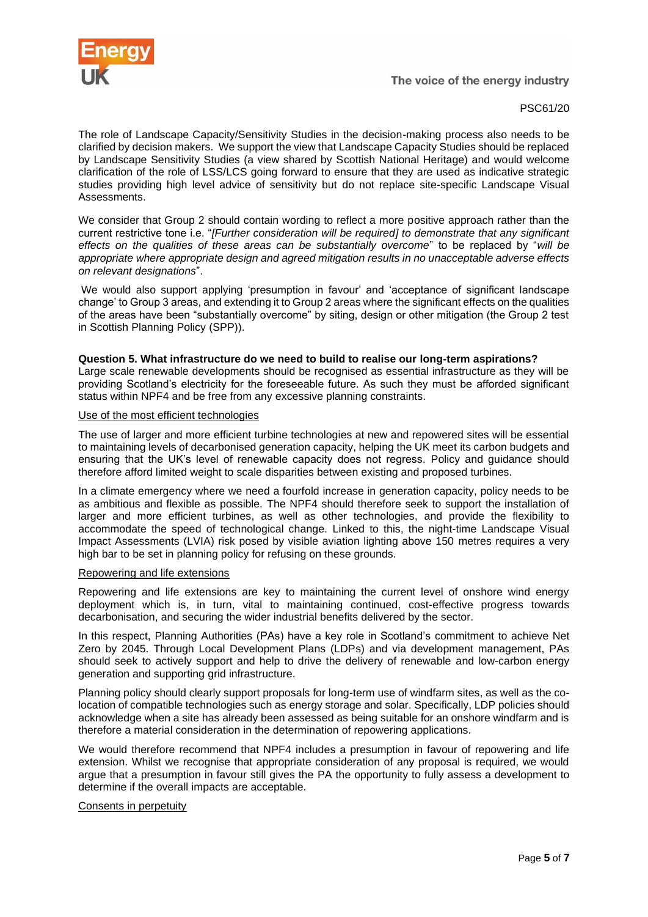

## PSC61/20

The role of Landscape Capacity/Sensitivity Studies in the decision-making process also needs to be clarified by decision makers. We support the view that Landscape Capacity Studies should be replaced by Landscape Sensitivity Studies (a view shared by Scottish National Heritage) and would welcome clarification of the role of LSS/LCS going forward to ensure that they are used as indicative strategic studies providing high level advice of sensitivity but do not replace site-specific Landscape Visual Assessments.

We consider that Group 2 should contain wording to reflect a more positive approach rather than the current restrictive tone i.e. "*[Further consideration will be required] to demonstrate that any significant effects on the qualities of these areas can be substantially overcome*" to be replaced by "*will be appropriate where appropriate design and agreed mitigation results in no unacceptable adverse effects on relevant designations*".

We would also support applying 'presumption in favour' and 'acceptance of significant landscape change' to Group 3 areas, and extending it to Group 2 areas where the significant effects on the qualities of the areas have been "substantially overcome" by siting, design or other mitigation (the Group 2 test in Scottish Planning Policy (SPP)).

#### **Question 5. What infrastructure do we need to build to realise our long-term aspirations?**

Large scale renewable developments should be recognised as essential infrastructure as they will be providing Scotland's electricity for the foreseeable future. As such they must be afforded significant status within NPF4 and be free from any excessive planning constraints.

#### Use of the most efficient technologies

The use of larger and more efficient turbine technologies at new and repowered sites will be essential to maintaining levels of decarbonised generation capacity, helping the UK meet its carbon budgets and ensuring that the UK's level of renewable capacity does not regress. Policy and guidance should therefore afford limited weight to scale disparities between existing and proposed turbines.

In a climate emergency where we need a fourfold increase in generation capacity, policy needs to be as ambitious and flexible as possible. The NPF4 should therefore seek to support the installation of larger and more efficient turbines, as well as other technologies, and provide the flexibility to accommodate the speed of technological change. Linked to this, the night-time Landscape Visual Impact Assessments (LVIA) risk posed by visible aviation lighting above 150 metres requires a very high bar to be set in planning policy for refusing on these grounds.

## Repowering and life extensions

Repowering and life extensions are key to maintaining the current level of onshore wind energy deployment which is, in turn, vital to maintaining continued, cost-effective progress towards decarbonisation, and securing the wider industrial benefits delivered by the sector.

In this respect, Planning Authorities (PAs) have a key role in Scotland's commitment to achieve Net Zero by 2045. Through Local Development Plans (LDPs) and via development management, PAs should seek to actively support and help to drive the delivery of renewable and low-carbon energy generation and supporting grid infrastructure.

Planning policy should clearly support proposals for long-term use of windfarm sites, as well as the colocation of compatible technologies such as energy storage and solar. Specifically, LDP policies should acknowledge when a site has already been assessed as being suitable for an onshore windfarm and is therefore a material consideration in the determination of repowering applications.

We would therefore recommend that NPF4 includes a presumption in favour of repowering and life extension. Whilst we recognise that appropriate consideration of any proposal is required, we would argue that a presumption in favour still gives the PA the opportunity to fully assess a development to determine if the overall impacts are acceptable.

#### Consents in perpetuity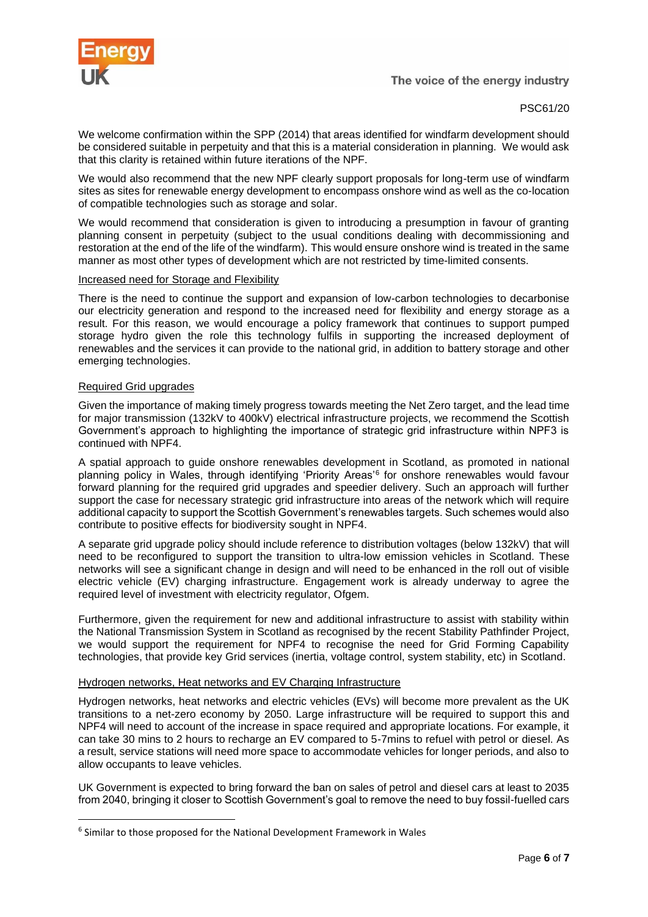

PSC61/20

We welcome confirmation within the SPP (2014) that areas identified for windfarm development should be considered suitable in perpetuity and that this is a material consideration in planning. We would ask that this clarity is retained within future iterations of the NPF.

We would also recommend that the new NPF clearly support proposals for long-term use of windfarm sites as sites for renewable energy development to encompass onshore wind as well as the co-location of compatible technologies such as storage and solar.

We would recommend that consideration is given to introducing a presumption in favour of granting planning consent in perpetuity (subject to the usual conditions dealing with decommissioning and restoration at the end of the life of the windfarm). This would ensure onshore wind is treated in the same manner as most other types of development which are not restricted by time-limited consents.

### Increased need for Storage and Flexibility

There is the need to continue the support and expansion of low-carbon technologies to decarbonise our electricity generation and respond to the increased need for flexibility and energy storage as a result. For this reason, we would encourage a policy framework that continues to support pumped storage hydro given the role this technology fulfils in supporting the increased deployment of renewables and the services it can provide to the national grid, in addition to battery storage and other emerging technologies.

### Required Grid upgrades

Given the importance of making timely progress towards meeting the Net Zero target, and the lead time for major transmission (132kV to 400kV) electrical infrastructure projects, we recommend the Scottish Government's approach to highlighting the importance of strategic grid infrastructure within NPF3 is continued with NPF4.

A spatial approach to guide onshore renewables development in Scotland, as promoted in national planning policy in Wales, through identifying 'Priority Areas'<sup>6</sup> for onshore renewables would favour forward planning for the required grid upgrades and speedier delivery. Such an approach will further support the case for necessary strategic grid infrastructure into areas of the network which will require additional capacity to support the Scottish Government's renewables targets. Such schemes would also contribute to positive effects for biodiversity sought in NPF4.

A separate grid upgrade policy should include reference to distribution voltages (below 132kV) that will need to be reconfigured to support the transition to ultra-low emission vehicles in Scotland. These networks will see a significant change in design and will need to be enhanced in the roll out of visible electric vehicle (EV) charging infrastructure. Engagement work is already underway to agree the required level of investment with electricity regulator, Ofgem.

Furthermore, given the requirement for new and additional infrastructure to assist with stability within the National Transmission System in Scotland as recognised by the recent Stability Pathfinder Project, we would support the requirement for NPF4 to recognise the need for Grid Forming Capability technologies, that provide key Grid services (inertia, voltage control, system stability, etc) in Scotland.

## Hydrogen networks, Heat networks and EV Charging Infrastructure

Hydrogen networks, heat networks and electric vehicles (EVs) will become more prevalent as the UK transitions to a net-zero economy by 2050. Large infrastructure will be required to support this and NPF4 will need to account of the increase in space required and appropriate locations. For example, it can take 30 mins to 2 hours to recharge an EV compared to 5-7mins to refuel with petrol or diesel. As a result, service stations will need more space to accommodate vehicles for longer periods, and also to allow occupants to leave vehicles.

UK Government is expected to bring forward the ban on sales of petrol and diesel cars at least to 2035 from 2040, bringing it closer to Scottish Government's goal to remove the need to buy fossil-fuelled cars

<sup>&</sup>lt;sup>6</sup> Similar to those proposed for the National Development Framework in Wales